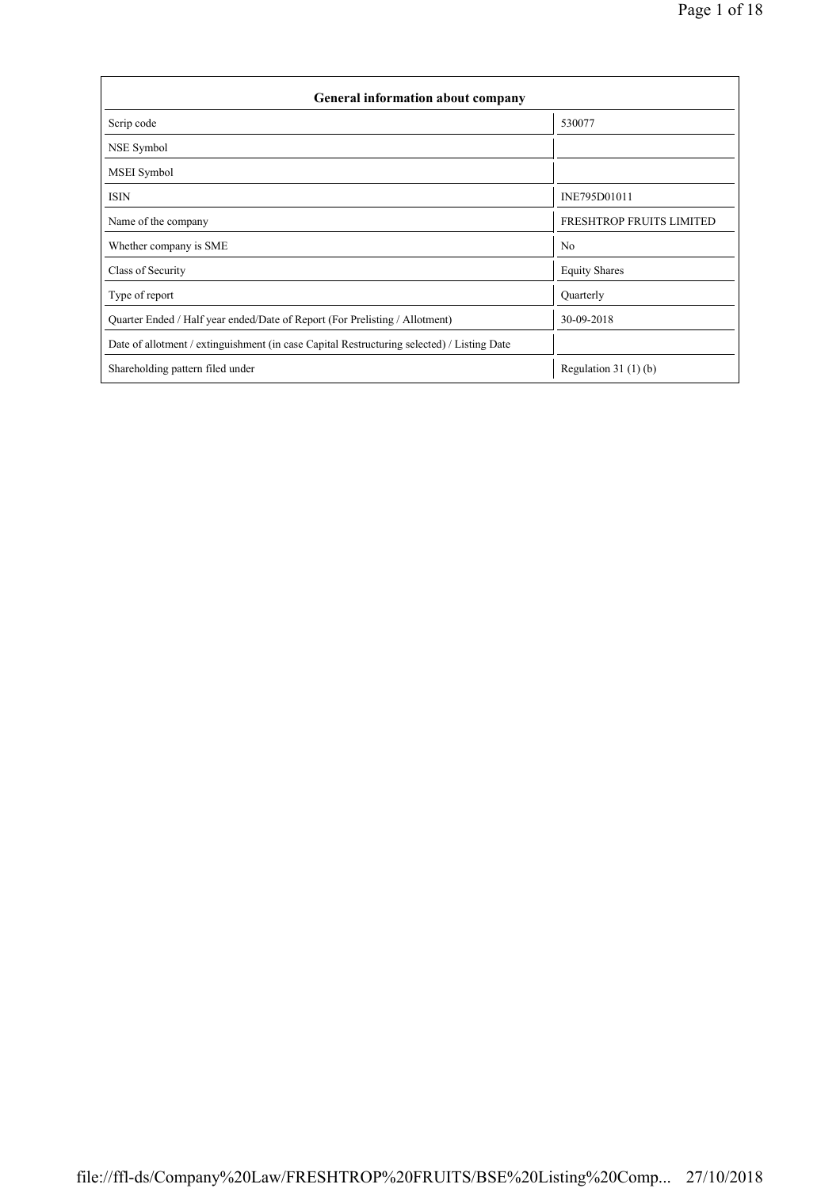| General information about company                                                          |                          |  |  |  |  |  |  |
|--------------------------------------------------------------------------------------------|--------------------------|--|--|--|--|--|--|
| Scrip code                                                                                 | 530077                   |  |  |  |  |  |  |
| NSE Symbol                                                                                 |                          |  |  |  |  |  |  |
| <b>MSEI</b> Symbol                                                                         |                          |  |  |  |  |  |  |
| <b>ISIN</b>                                                                                | INE795D01011             |  |  |  |  |  |  |
| Name of the company                                                                        | FRESHTROP FRUITS LIMITED |  |  |  |  |  |  |
| Whether company is SME                                                                     | N <sub>0</sub>           |  |  |  |  |  |  |
| Class of Security                                                                          | <b>Equity Shares</b>     |  |  |  |  |  |  |
| Type of report                                                                             | Quarterly                |  |  |  |  |  |  |
| Quarter Ended / Half year ended/Date of Report (For Prelisting / Allotment)                | 30-09-2018               |  |  |  |  |  |  |
| Date of allotment / extinguishment (in case Capital Restructuring selected) / Listing Date |                          |  |  |  |  |  |  |
| Shareholding pattern filed under                                                           | Regulation $31(1)(b)$    |  |  |  |  |  |  |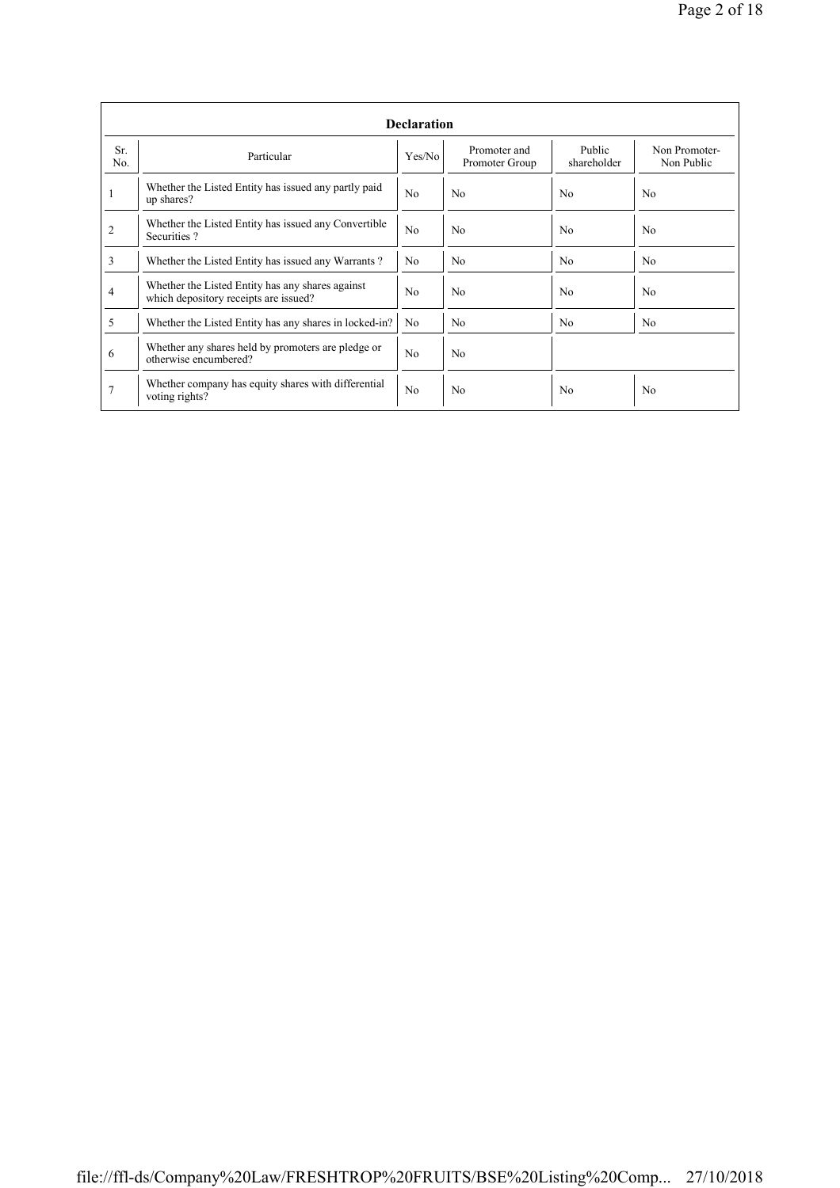|            | <b>Declaration</b>                                                                        |                |                                |                       |                             |  |  |  |  |  |
|------------|-------------------------------------------------------------------------------------------|----------------|--------------------------------|-----------------------|-----------------------------|--|--|--|--|--|
| Sr.<br>No. | Particular                                                                                | Yes/No         | Promoter and<br>Promoter Group | Public<br>shareholder | Non Promoter-<br>Non Public |  |  |  |  |  |
| 1          | Whether the Listed Entity has issued any partly paid<br>up shares?                        | N <sub>0</sub> | No                             | N <sub>0</sub>        | N <sub>0</sub>              |  |  |  |  |  |
| 2          | Whether the Listed Entity has issued any Convertible<br>Securities?                       | N <sub>0</sub> | N <sub>0</sub>                 | N <sub>0</sub>        | N <sub>0</sub>              |  |  |  |  |  |
| 3          | Whether the Listed Entity has issued any Warrants?                                        | N <sub>0</sub> | N <sub>0</sub>                 | N <sub>0</sub>        | N <sub>0</sub>              |  |  |  |  |  |
| 4          | Whether the Listed Entity has any shares against<br>which depository receipts are issued? | N <sub>0</sub> | N <sub>0</sub>                 | N <sub>0</sub>        | No                          |  |  |  |  |  |
| 5          | Whether the Listed Entity has any shares in locked-in?                                    | N <sub>0</sub> | No                             | N <sub>0</sub>        | N <sub>0</sub>              |  |  |  |  |  |
| 6          | Whether any shares held by promoters are pledge or<br>otherwise encumbered?               | N <sub>0</sub> | N <sub>0</sub>                 |                       |                             |  |  |  |  |  |
|            | Whether company has equity shares with differential<br>voting rights?                     | No             | N <sub>0</sub>                 | N <sub>0</sub>        | No                          |  |  |  |  |  |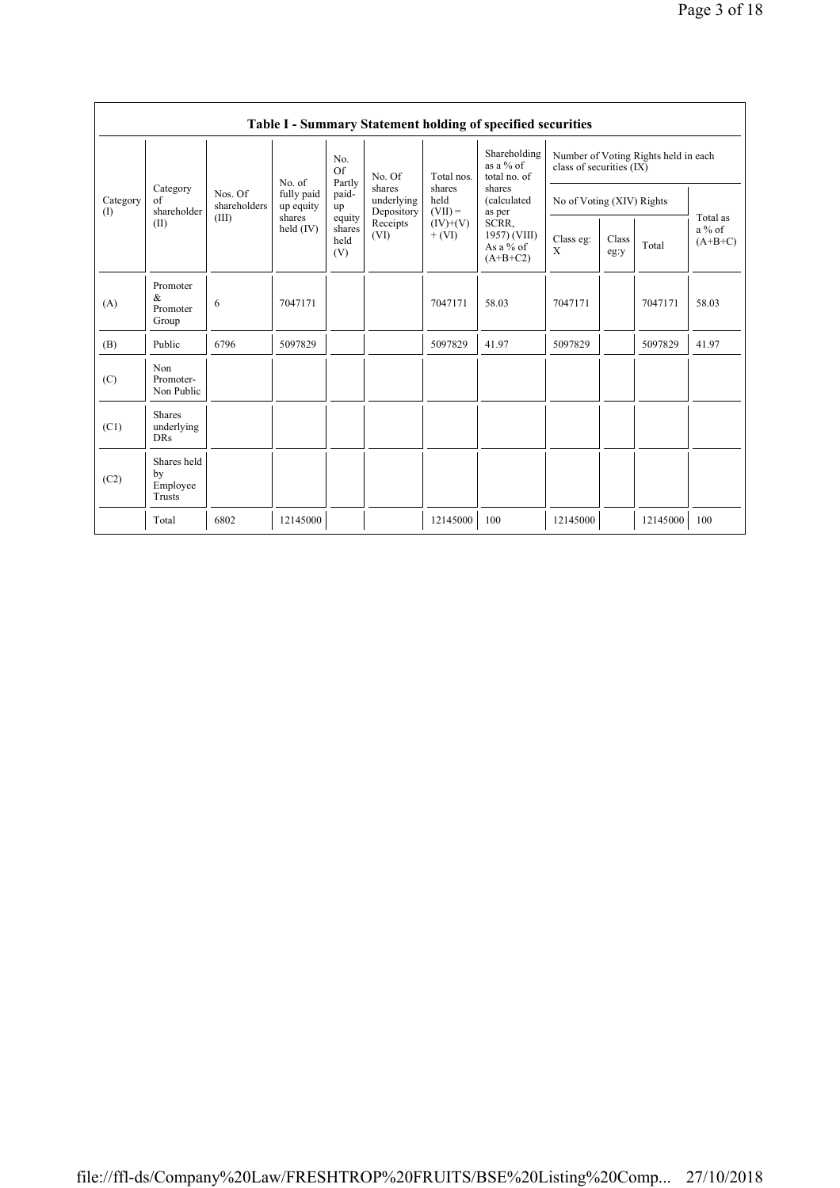|                 | Table I - Summary Statement holding of specified securities |                                  |                                   |                                 |                                                                  |                                                                     |                                                                                                                                    |                                                                  |               |          |                                   |
|-----------------|-------------------------------------------------------------|----------------------------------|-----------------------------------|---------------------------------|------------------------------------------------------------------|---------------------------------------------------------------------|------------------------------------------------------------------------------------------------------------------------------------|------------------------------------------------------------------|---------------|----------|-----------------------------------|
| Category<br>(1) | Category<br>$\sigma$ f<br>shareholder<br>(II)               | Nos. Of<br>shareholders<br>(III) |                                   | No.<br>Of                       | No. Of<br>shares<br>underlying<br>Depository<br>Receipts<br>(VI) | Total nos.<br>shares<br>held<br>$(VII) =$<br>$(IV)+(V)$<br>$+ (VI)$ | Shareholding<br>as a $%$ of<br>total no. of<br>shares<br>(calculated<br>as per<br>SCRR,<br>1957) (VIII)<br>As a % of<br>$(A+B+C2)$ | Number of Voting Rights held in each<br>class of securities (IX) |               |          |                                   |
|                 |                                                             |                                  | No. of<br>fully paid<br>up equity | Partly<br>paid-<br>up           |                                                                  |                                                                     |                                                                                                                                    | No of Voting (XIV) Rights                                        |               |          |                                   |
|                 |                                                             |                                  | shares<br>held $(IV)$             | equity<br>shares<br>held<br>(V) |                                                                  |                                                                     |                                                                                                                                    | Class eg:<br>X                                                   | Class<br>eg:y | Total    | Total as<br>$a\%$ of<br>$(A+B+C)$ |
| (A)             | Promoter<br>&<br>Promoter<br>Group                          | 6                                | 7047171                           |                                 |                                                                  | 7047171                                                             | 58.03                                                                                                                              | 7047171                                                          |               | 7047171  | 58.03                             |
| (B)             | Public                                                      | 6796                             | 5097829                           |                                 |                                                                  | 5097829                                                             | 41.97                                                                                                                              | 5097829                                                          |               | 5097829  | 41.97                             |
| (C)             | Non<br>Promoter-<br>Non Public                              |                                  |                                   |                                 |                                                                  |                                                                     |                                                                                                                                    |                                                                  |               |          |                                   |
| (C1)            | <b>Shares</b><br>underlying<br><b>DRs</b>                   |                                  |                                   |                                 |                                                                  |                                                                     |                                                                                                                                    |                                                                  |               |          |                                   |
| (C2)            | Shares held<br>by<br>Employee<br>Trusts                     |                                  |                                   |                                 |                                                                  |                                                                     |                                                                                                                                    |                                                                  |               |          |                                   |
|                 | Total                                                       | 6802                             | 12145000                          |                                 |                                                                  | 12145000                                                            | 100                                                                                                                                | 12145000                                                         |               | 12145000 | 100                               |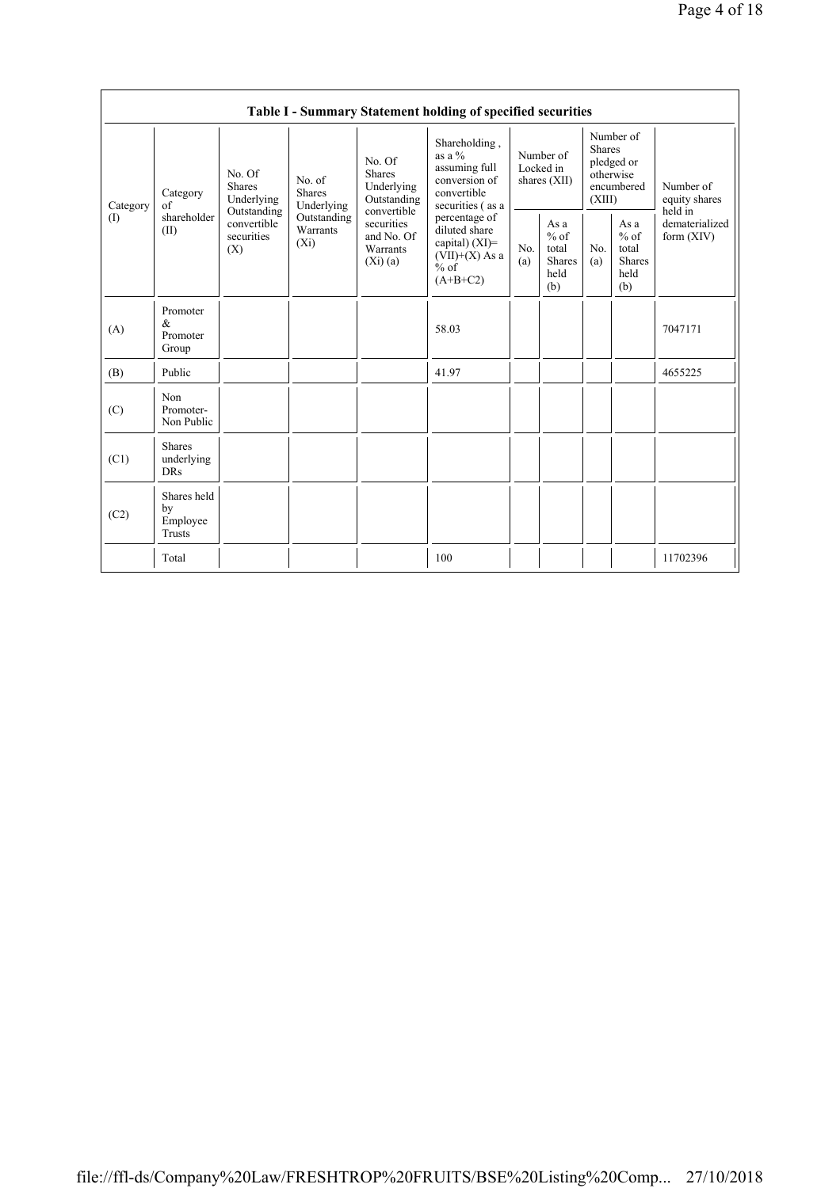|                                            |                                           |                                                                                                                                                          |             |                                                                                                                        | Table I - Summary Statement holding of specified securities                                     |                                        |                                                         |                                                                               |                                                         |                                       |
|--------------------------------------------|-------------------------------------------|----------------------------------------------------------------------------------------------------------------------------------------------------------|-------------|------------------------------------------------------------------------------------------------------------------------|-------------------------------------------------------------------------------------------------|----------------------------------------|---------------------------------------------------------|-------------------------------------------------------------------------------|---------------------------------------------------------|---------------------------------------|
| Category<br>$\textcircled{\scriptsize{1}}$ | Category<br>of<br>shareholder<br>(II)     | No. Of<br>No. of<br><b>Shares</b><br><b>Shares</b><br>Underlying<br>Underlying<br>Outstanding<br>convertible<br>Warrants<br>securities<br>$(X_i)$<br>(X) |             | No. Of<br><b>Shares</b><br>Underlying<br>Outstanding<br>convertible<br>securities<br>and No. Of<br>Warrants<br>(Xi)(a) | Shareholding,<br>as a $%$<br>assuming full<br>conversion of<br>convertible<br>securities (as a  | Number of<br>Locked in<br>shares (XII) |                                                         | Number of<br><b>Shares</b><br>pledged or<br>otherwise<br>encumbered<br>(XIII) |                                                         | Number of<br>equity shares<br>held in |
|                                            |                                           |                                                                                                                                                          | Outstanding |                                                                                                                        | percentage of<br>diluted share<br>capital) $(XI)$ =<br>$(VII)+(X)$ As a<br>$%$ of<br>$(A+B+C2)$ | No.<br>(a)                             | As a<br>$%$ of<br>total<br><b>Shares</b><br>held<br>(b) | No.<br>(a)                                                                    | As a<br>$%$ of<br>total<br><b>Shares</b><br>held<br>(b) | dematerialized<br>form $(XIV)$        |
| (A)                                        | Promoter<br>&<br>Promoter<br>Group        |                                                                                                                                                          |             |                                                                                                                        | 58.03                                                                                           |                                        |                                                         |                                                                               |                                                         | 7047171                               |
| (B)                                        | Public                                    |                                                                                                                                                          |             |                                                                                                                        | 41.97                                                                                           |                                        |                                                         |                                                                               |                                                         | 4655225                               |
| (C)                                        | Non<br>Promoter-<br>Non Public            |                                                                                                                                                          |             |                                                                                                                        |                                                                                                 |                                        |                                                         |                                                                               |                                                         |                                       |
| (C1)                                       | <b>Shares</b><br>underlying<br><b>DRs</b> |                                                                                                                                                          |             |                                                                                                                        |                                                                                                 |                                        |                                                         |                                                                               |                                                         |                                       |
| (C2)                                       | Shares held<br>by<br>Employee<br>Trusts   |                                                                                                                                                          |             |                                                                                                                        |                                                                                                 |                                        |                                                         |                                                                               |                                                         |                                       |
|                                            | Total                                     |                                                                                                                                                          |             |                                                                                                                        | 100                                                                                             |                                        |                                                         |                                                                               |                                                         | 11702396                              |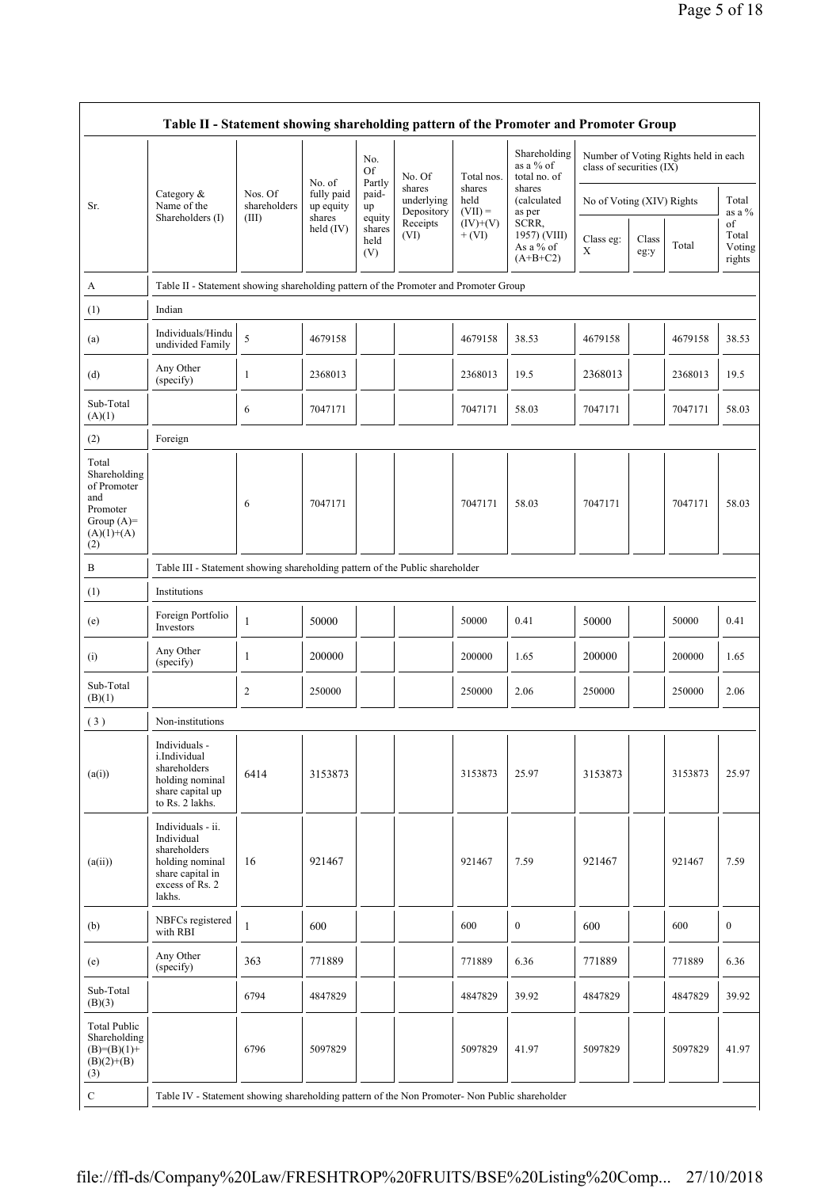|                                                                                                | Table II - Statement showing shareholding pattern of the Promoter and Promoter Group                                |                         |                                                  |                                 |                                    |                             |                                                  |                           |               |                                      |                                 |
|------------------------------------------------------------------------------------------------|---------------------------------------------------------------------------------------------------------------------|-------------------------|--------------------------------------------------|---------------------------------|------------------------------------|-----------------------------|--------------------------------------------------|---------------------------|---------------|--------------------------------------|---------------------------------|
|                                                                                                |                                                                                                                     |                         | No. of                                           | No.<br>Of<br>Partly             | No. Of                             | Total nos.                  | Shareholding<br>as a % of<br>total no. of        | class of securities (IX)  |               | Number of Voting Rights held in each |                                 |
| Sr.                                                                                            | Category &<br>Name of the                                                                                           | Nos. Of<br>shareholders | fully paid<br>up equity<br>shares<br>held $(IV)$ | paid-<br>up                     | shares<br>underlying<br>Depository | shares<br>held<br>$(VII) =$ | shares<br>(calculated<br>as per                  | No of Voting (XIV) Rights |               |                                      | Total<br>as a %                 |
|                                                                                                | Shareholders (I)                                                                                                    | (III)                   |                                                  | equity<br>shares<br>held<br>(V) | Receipts<br>(VI)                   | $(IV)+(V)$<br>$+$ (VI)      | SCRR,<br>1957) (VIII)<br>As a % of<br>$(A+B+C2)$ | Class eg:<br>X            | Class<br>eg:y | Total                                | of<br>Total<br>Voting<br>rights |
| A                                                                                              | Table II - Statement showing shareholding pattern of the Promoter and Promoter Group                                |                         |                                                  |                                 |                                    |                             |                                                  |                           |               |                                      |                                 |
| (1)                                                                                            | Indian                                                                                                              |                         |                                                  |                                 |                                    |                             |                                                  |                           |               |                                      |                                 |
| (a)                                                                                            | Individuals/Hindu<br>undivided Family                                                                               | 5                       | 4679158                                          |                                 |                                    | 4679158                     | 38.53                                            | 4679158                   |               | 4679158                              | 38.53                           |
| (d)                                                                                            | Any Other<br>(specify)                                                                                              | 1                       | 2368013                                          |                                 |                                    | 2368013                     | 19.5                                             | 2368013                   |               | 2368013                              | 19.5                            |
| Sub-Total<br>(A)(1)                                                                            |                                                                                                                     | 6                       | 7047171                                          |                                 |                                    | 7047171                     | 58.03                                            | 7047171                   |               | 7047171                              | 58.03                           |
| (2)                                                                                            | Foreign                                                                                                             |                         |                                                  |                                 |                                    |                             |                                                  |                           |               |                                      |                                 |
| Total<br>Shareholding<br>of Promoter<br>and<br>Promoter<br>Group $(A)=$<br>$(A)(1)+(A)$<br>(2) |                                                                                                                     | 6                       | 7047171                                          |                                 |                                    | 7047171                     | 58.03                                            | 7047171                   |               | 7047171                              | 58.03                           |
| B                                                                                              | Table III - Statement showing shareholding pattern of the Public shareholder                                        |                         |                                                  |                                 |                                    |                             |                                                  |                           |               |                                      |                                 |
| (1)                                                                                            | Institutions                                                                                                        |                         |                                                  |                                 |                                    |                             |                                                  |                           |               |                                      |                                 |
| (e)                                                                                            | Foreign Portfolio<br>Investors                                                                                      | $\mathbf{1}$            | 50000                                            |                                 |                                    | 50000                       | 0.41                                             | 50000                     |               | 50000                                | 0.41                            |
| (i)                                                                                            | Any Other<br>(specify)                                                                                              | 1                       | 200000                                           |                                 |                                    | 200000                      | 1.65                                             | 200000                    |               | 200000                               | 1.65                            |
| Sub-Total<br>(B)(1)                                                                            |                                                                                                                     | $\overline{\mathbf{c}}$ | 250000                                           |                                 |                                    | 250000                      | 2.06                                             | 250000                    |               | 250000                               | 2.06                            |
| (3)                                                                                            | Non-institutions                                                                                                    |                         |                                                  |                                 |                                    |                             |                                                  |                           |               |                                      |                                 |
| (a(i))                                                                                         | Individuals -<br>i.Individual<br>shareholders<br>holding nominal<br>share capital up<br>to Rs. 2 lakhs.             | 6414                    | 3153873                                          |                                 |                                    | 3153873                     | 25.97                                            | 3153873                   |               | 3153873                              | 25.97                           |
| (a(ii))                                                                                        | Individuals - ii.<br>Individual<br>shareholders<br>holding nominal<br>share capital in<br>excess of Rs. 2<br>lakhs. | 16                      | 921467                                           |                                 |                                    | 921467                      | 7.59                                             | 921467                    |               | 921467                               | 7.59                            |
| (b)                                                                                            | NBFCs registered<br>with RBI                                                                                        | $\mathbf{1}$            | 600                                              |                                 |                                    | 600                         | $\boldsymbol{0}$                                 | 600                       |               | 600                                  | $\boldsymbol{0}$                |
| (e)                                                                                            | Any Other<br>(specify)                                                                                              | 363                     | 771889                                           |                                 |                                    | 771889                      | 6.36                                             | 771889                    |               | 771889                               | 6.36                            |
| Sub-Total<br>(B)(3)                                                                            |                                                                                                                     | 6794                    | 4847829                                          |                                 |                                    | 4847829                     | 39.92                                            | 4847829                   |               | 4847829                              | 39.92                           |
| <b>Total Public</b><br>Shareholding<br>$(B)=(B)(1)+$<br>$(B)(2)+(B)$<br>(3)                    |                                                                                                                     | 6796                    | 5097829                                          |                                 |                                    | 5097829                     | 41.97                                            | 5097829                   |               | 5097829                              | 41.97                           |
| $\mathbf C$                                                                                    | Table IV - Statement showing shareholding pattern of the Non Promoter- Non Public shareholder                       |                         |                                                  |                                 |                                    |                             |                                                  |                           |               |                                      |                                 |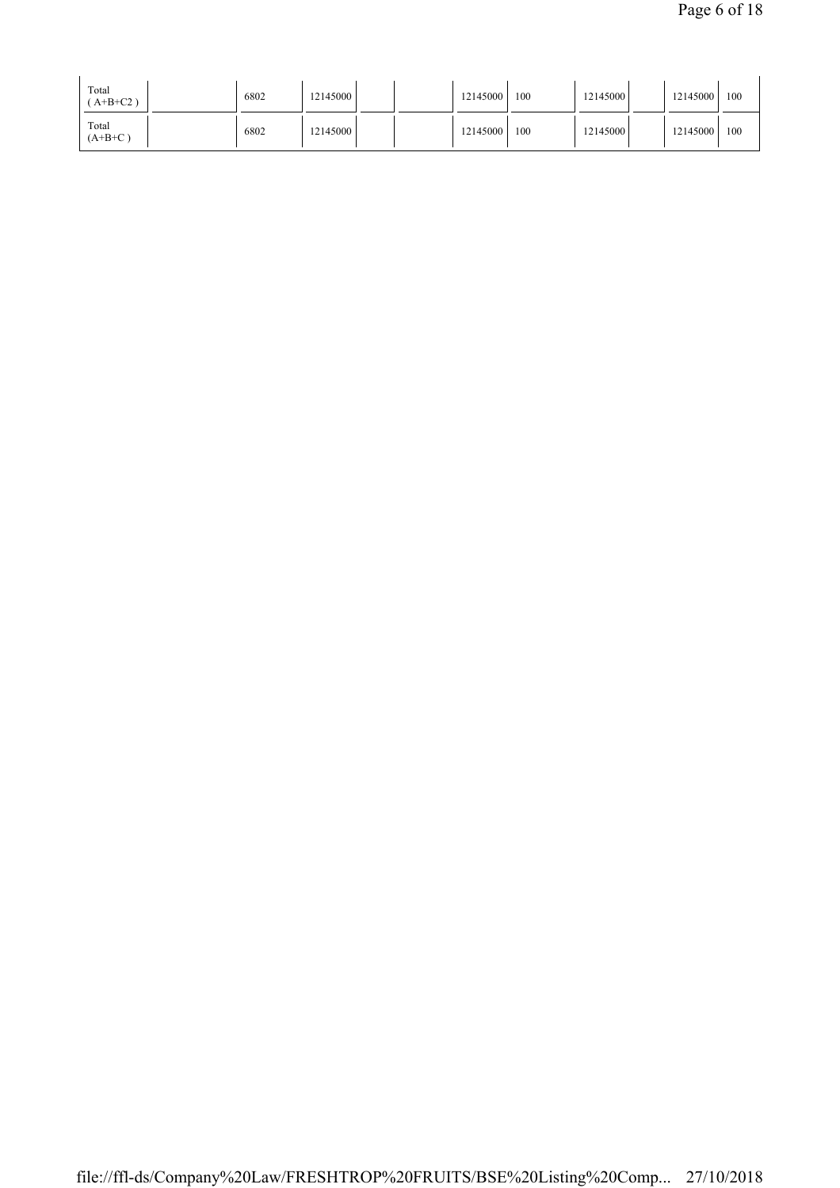| Total<br>$A+B+C2$ ) | 6802 | 12145000 |  | 12145000 | 100 | 12145000  | 12145000 | 100 |
|---------------------|------|----------|--|----------|-----|-----------|----------|-----|
| Total<br>$(A+B+C)$  | 6802 | 12145000 |  | 12145000 | 100 | 121450001 | 12145000 | 100 |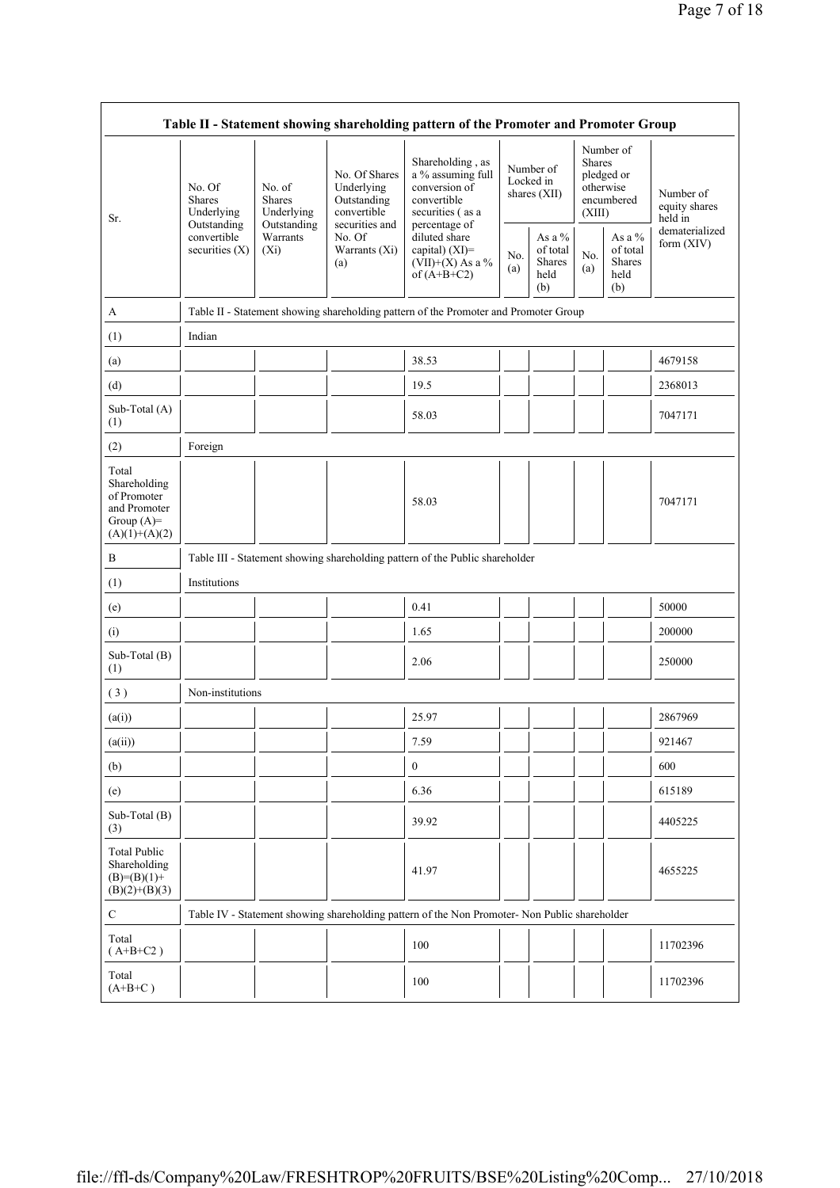| Table II - Statement showing shareholding pattern of the Promoter and Promoter Group    |                                                      |                                                                             |                                                                                                               |                                                                                                                                                                                    |            |                                                      |                                                                               |                                             |                                       |  |
|-----------------------------------------------------------------------------------------|------------------------------------------------------|-----------------------------------------------------------------------------|---------------------------------------------------------------------------------------------------------------|------------------------------------------------------------------------------------------------------------------------------------------------------------------------------------|------------|------------------------------------------------------|-------------------------------------------------------------------------------|---------------------------------------------|---------------------------------------|--|
| Sr.                                                                                     | No. Of<br><b>Shares</b><br>Underlying<br>Outstanding | No. of<br><b>Shares</b><br>Underlying<br>Outstanding<br>Warrants<br>$(X_i)$ | No. Of Shares<br>Underlying<br>Outstanding<br>convertible<br>securities and<br>No. Of<br>Warrants (Xi)<br>(a) | Shareholding, as<br>a % assuming full<br>conversion of<br>convertible<br>securities (as a<br>percentage of<br>diluted share<br>capital) (XI)=<br>(VII)+(X) As a %<br>of $(A+B+C2)$ |            | Number of<br>Locked in<br>shares $(XII)$             | Number of<br><b>Shares</b><br>pledged or<br>otherwise<br>encumbered<br>(XIII) |                                             | Number of<br>equity shares<br>held in |  |
|                                                                                         | convertible<br>securities $(X)$                      |                                                                             |                                                                                                               |                                                                                                                                                                                    | No.<br>(a) | As a $%$<br>of total<br><b>Shares</b><br>held<br>(b) | No.<br>(a)                                                                    | As a %<br>of total<br>Shares<br>held<br>(b) | dematerialized<br>form $(XIV)$        |  |
| A                                                                                       |                                                      |                                                                             |                                                                                                               | Table II - Statement showing shareholding pattern of the Promoter and Promoter Group                                                                                               |            |                                                      |                                                                               |                                             |                                       |  |
| (1)                                                                                     | Indian                                               |                                                                             |                                                                                                               |                                                                                                                                                                                    |            |                                                      |                                                                               |                                             |                                       |  |
| (a)                                                                                     |                                                      |                                                                             |                                                                                                               | 38.53                                                                                                                                                                              |            |                                                      |                                                                               |                                             | 4679158                               |  |
| (d)                                                                                     |                                                      |                                                                             |                                                                                                               | 19.5                                                                                                                                                                               |            |                                                      |                                                                               |                                             | 2368013                               |  |
| Sub-Total (A)<br>(1)                                                                    |                                                      |                                                                             |                                                                                                               | 58.03                                                                                                                                                                              |            |                                                      |                                                                               |                                             | 7047171                               |  |
| (2)                                                                                     | Foreign                                              |                                                                             |                                                                                                               |                                                                                                                                                                                    |            |                                                      |                                                                               |                                             |                                       |  |
| Total<br>Shareholding<br>of Promoter<br>and Promoter<br>Group $(A)=$<br>$(A)(1)+(A)(2)$ |                                                      |                                                                             |                                                                                                               | 58.03                                                                                                                                                                              |            |                                                      |                                                                               |                                             | 7047171                               |  |
| B                                                                                       |                                                      |                                                                             |                                                                                                               | Table III - Statement showing shareholding pattern of the Public shareholder                                                                                                       |            |                                                      |                                                                               |                                             |                                       |  |
| (1)                                                                                     | Institutions                                         |                                                                             |                                                                                                               |                                                                                                                                                                                    |            |                                                      |                                                                               |                                             |                                       |  |
| (e)                                                                                     |                                                      |                                                                             |                                                                                                               | 0.41                                                                                                                                                                               |            |                                                      |                                                                               |                                             | 50000                                 |  |
| (i)                                                                                     |                                                      |                                                                             |                                                                                                               | 1.65                                                                                                                                                                               |            |                                                      |                                                                               |                                             | 200000                                |  |
| Sub-Total (B)<br>(1)                                                                    |                                                      |                                                                             |                                                                                                               | 2.06                                                                                                                                                                               |            |                                                      |                                                                               |                                             | 250000                                |  |
| (3)                                                                                     | Non-institutions                                     |                                                                             |                                                                                                               |                                                                                                                                                                                    |            |                                                      |                                                                               |                                             |                                       |  |
| (a(i))                                                                                  |                                                      |                                                                             |                                                                                                               | 25.97                                                                                                                                                                              |            |                                                      |                                                                               |                                             | 2867969                               |  |
| (a(ii))                                                                                 |                                                      |                                                                             |                                                                                                               | 7.59                                                                                                                                                                               |            |                                                      | $\mathbf{I}$                                                                  | $\mathbf{I}$                                | 921467                                |  |
| (b)                                                                                     |                                                      |                                                                             |                                                                                                               | $\boldsymbol{0}$                                                                                                                                                                   |            |                                                      |                                                                               |                                             | 600                                   |  |
| (e)                                                                                     |                                                      |                                                                             |                                                                                                               | 6.36                                                                                                                                                                               |            |                                                      |                                                                               |                                             | 615189                                |  |
| Sub-Total (B)<br>(3)                                                                    |                                                      |                                                                             |                                                                                                               | 39.92                                                                                                                                                                              |            |                                                      |                                                                               |                                             | 4405225                               |  |
| <b>Total Public</b><br>Shareholding<br>$(B)= (B)(1) +$<br>$(B)(2)+(B)(3)$               |                                                      |                                                                             |                                                                                                               | 41.97                                                                                                                                                                              |            |                                                      |                                                                               |                                             | 4655225                               |  |
| $\mathbf C$                                                                             |                                                      |                                                                             |                                                                                                               | Table IV - Statement showing shareholding pattern of the Non Promoter- Non Public shareholder                                                                                      |            |                                                      |                                                                               |                                             |                                       |  |
| Total<br>$(A+B+C2)$                                                                     |                                                      |                                                                             |                                                                                                               | 100                                                                                                                                                                                |            |                                                      |                                                                               |                                             | 11702396                              |  |
| Total<br>$(A+B+C)$                                                                      |                                                      |                                                                             |                                                                                                               | 100                                                                                                                                                                                |            |                                                      |                                                                               |                                             | 11702396                              |  |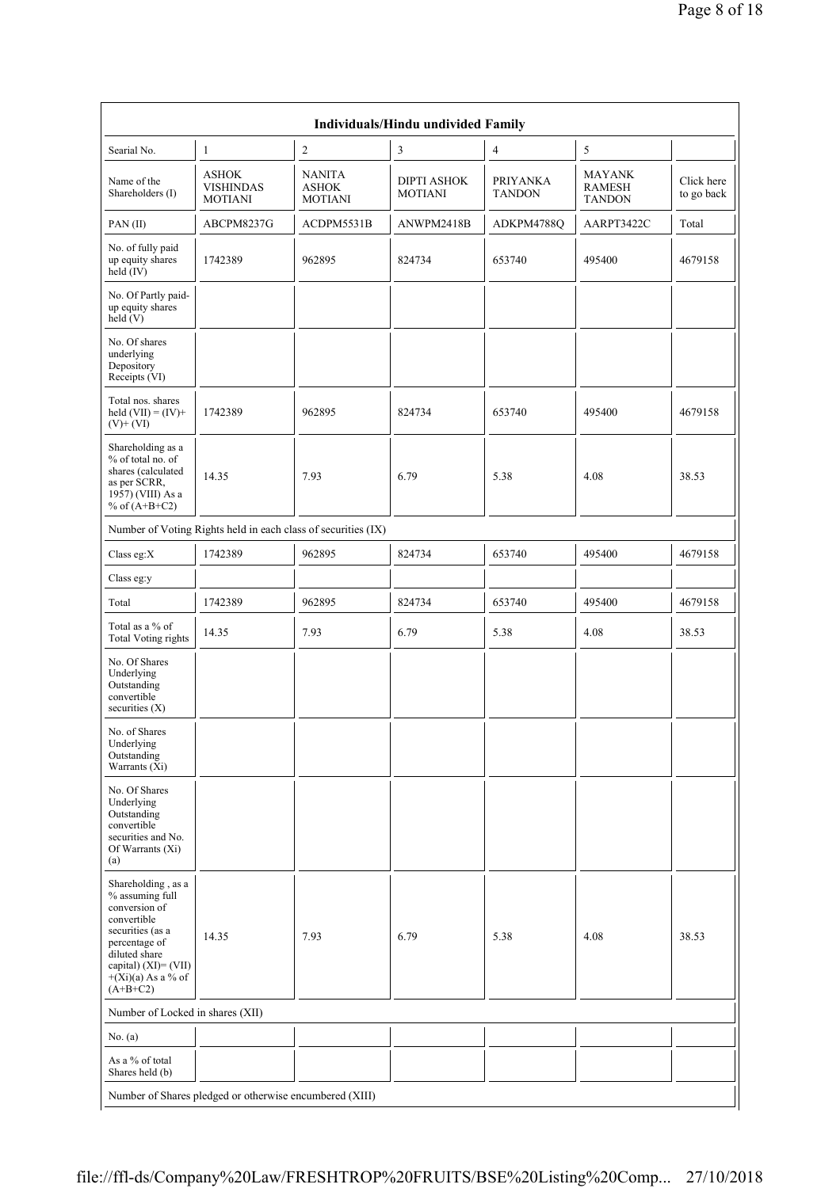|                                                                                                                                                                                           |                                                               |                                                 | <b>Individuals/Hindu undivided Family</b> |                                  |                                                 |                          |
|-------------------------------------------------------------------------------------------------------------------------------------------------------------------------------------------|---------------------------------------------------------------|-------------------------------------------------|-------------------------------------------|----------------------------------|-------------------------------------------------|--------------------------|
| Searial No.                                                                                                                                                                               | 1                                                             | $\sqrt{2}$                                      | 3                                         | $\overline{4}$                   | 5                                               |                          |
| Name of the<br>Shareholders (I)                                                                                                                                                           | <b>ASHOK</b><br><b>VISHINDAS</b><br><b>MOTIANI</b>            | <b>NANITA</b><br><b>ASHOK</b><br><b>MOTIANI</b> | <b>DIPTI ASHOK</b><br><b>MOTIANI</b>      | <b>PRIYANKA</b><br><b>TANDON</b> | <b>MAYANK</b><br><b>RAMESH</b><br><b>TANDON</b> | Click here<br>to go back |
| PAN(II)                                                                                                                                                                                   | ABCPM8237G                                                    | ACDPM5531B                                      | ANWPM2418B                                | ADKPM4788Q                       | AARPT3422C                                      | Total                    |
| No. of fully paid<br>up equity shares<br>held $(IV)$                                                                                                                                      | 1742389                                                       | 962895                                          | 824734                                    | 653740                           | 495400                                          | 4679158                  |
| No. Of Partly paid-<br>up equity shares<br>held (V)                                                                                                                                       |                                                               |                                                 |                                           |                                  |                                                 |                          |
| No. Of shares<br>underlying<br>Depository<br>Receipts (VI)                                                                                                                                |                                                               |                                                 |                                           |                                  |                                                 |                          |
| Total nos. shares<br>held $(VII) = (IV) +$<br>$(V)+(VI)$                                                                                                                                  | 1742389                                                       | 962895                                          | 824734                                    | 653740                           | 495400                                          | 4679158                  |
| Shareholding as a<br>% of total no. of<br>shares (calculated<br>as per SCRR,<br>1957) (VIII) As a<br>% of $(A+B+C2)$                                                                      | 14.35                                                         | 7.93                                            | 6.79                                      | 5.38                             | 4.08                                            | 38.53                    |
|                                                                                                                                                                                           | Number of Voting Rights held in each class of securities (IX) |                                                 |                                           |                                  |                                                 |                          |
| Class eg:X                                                                                                                                                                                | 1742389                                                       | 962895                                          | 824734                                    | 653740                           | 495400                                          | 4679158                  |
| Class eg:y                                                                                                                                                                                |                                                               |                                                 |                                           |                                  |                                                 |                          |
| Total                                                                                                                                                                                     | 1742389                                                       | 962895                                          | 824734                                    | 653740                           | 495400                                          | 4679158                  |
| Total as a % of<br><b>Total Voting rights</b>                                                                                                                                             | 14.35                                                         | 7.93                                            | 6.79                                      | 5.38                             | 4.08                                            | 38.53                    |
| No. Of Shares<br>Underlying<br>Outstanding<br>convertible<br>securities $(X)$                                                                                                             |                                                               |                                                 |                                           |                                  |                                                 |                          |
| No. of Shares<br>Underlying<br>Outstanding<br>Warrants (Xi)                                                                                                                               |                                                               |                                                 |                                           |                                  |                                                 |                          |
| No. Of Shares<br>Underlying<br>Outstanding<br>convertible<br>securities and No.<br>Of Warrants (Xi)<br>(a)                                                                                |                                                               |                                                 |                                           |                                  |                                                 |                          |
| Shareholding, as a<br>% assuming full<br>conversion of<br>convertible<br>securities (as a<br>percentage of<br>diluted share<br>capital) (XI)= (VII)<br>$+(Xi)(a)$ As a % of<br>$(A+B+C2)$ | 14.35                                                         | 7.93                                            | 6.79                                      | 5.38                             | 4.08                                            | 38.53                    |
| Number of Locked in shares (XII)                                                                                                                                                          |                                                               |                                                 |                                           |                                  |                                                 |                          |
| No. (a)                                                                                                                                                                                   |                                                               |                                                 |                                           |                                  |                                                 |                          |
| As a % of total<br>Shares held (b)                                                                                                                                                        |                                                               |                                                 |                                           |                                  |                                                 |                          |
|                                                                                                                                                                                           | Number of Shares pledged or otherwise encumbered (XIII)       |                                                 |                                           |                                  |                                                 |                          |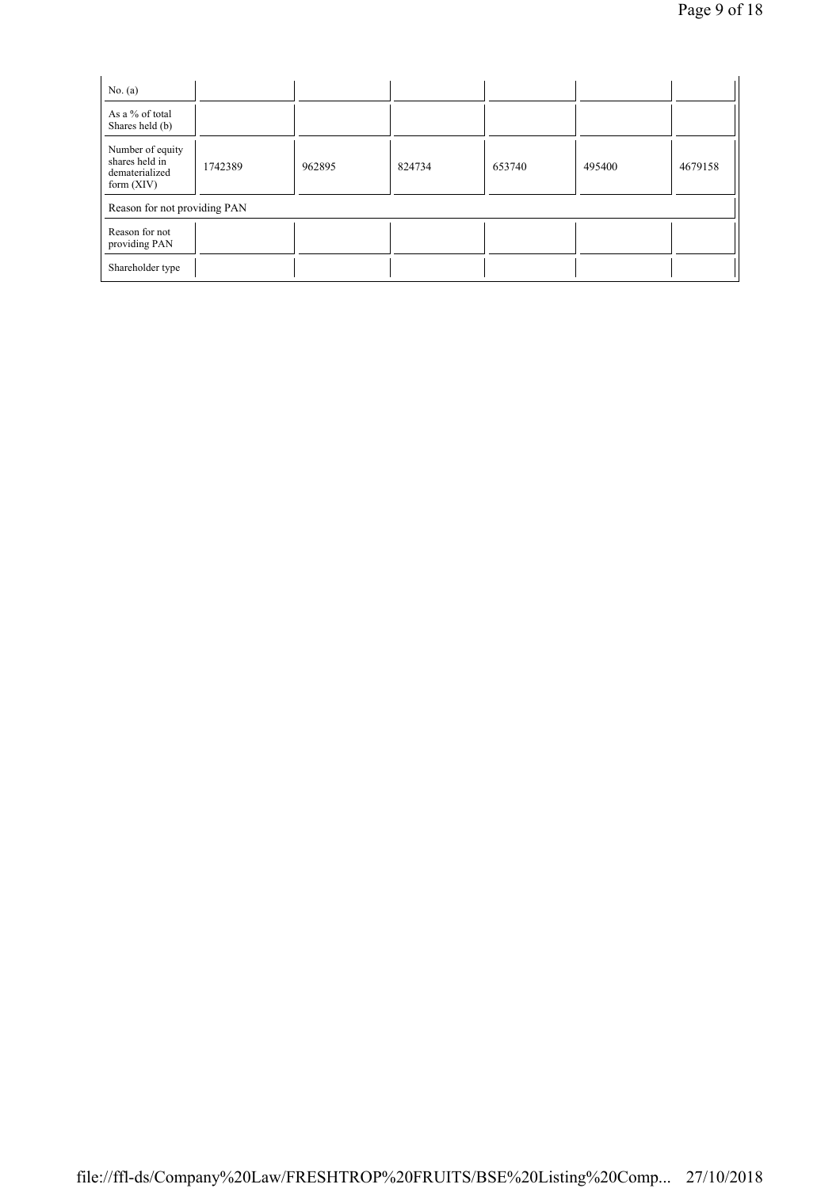| No. $(a)$                                                            |         |        |        |        |        |         |  |  |
|----------------------------------------------------------------------|---------|--------|--------|--------|--------|---------|--|--|
| As a % of total<br>Shares held (b)                                   |         |        |        |        |        |         |  |  |
| Number of equity<br>shares held in<br>dematerialized<br>form $(XIV)$ | 1742389 | 962895 | 824734 | 653740 | 495400 | 4679158 |  |  |
| Reason for not providing PAN                                         |         |        |        |        |        |         |  |  |
| Reason for not<br>providing PAN                                      |         |        |        |        |        |         |  |  |
| Shareholder type                                                     |         |        |        |        |        |         |  |  |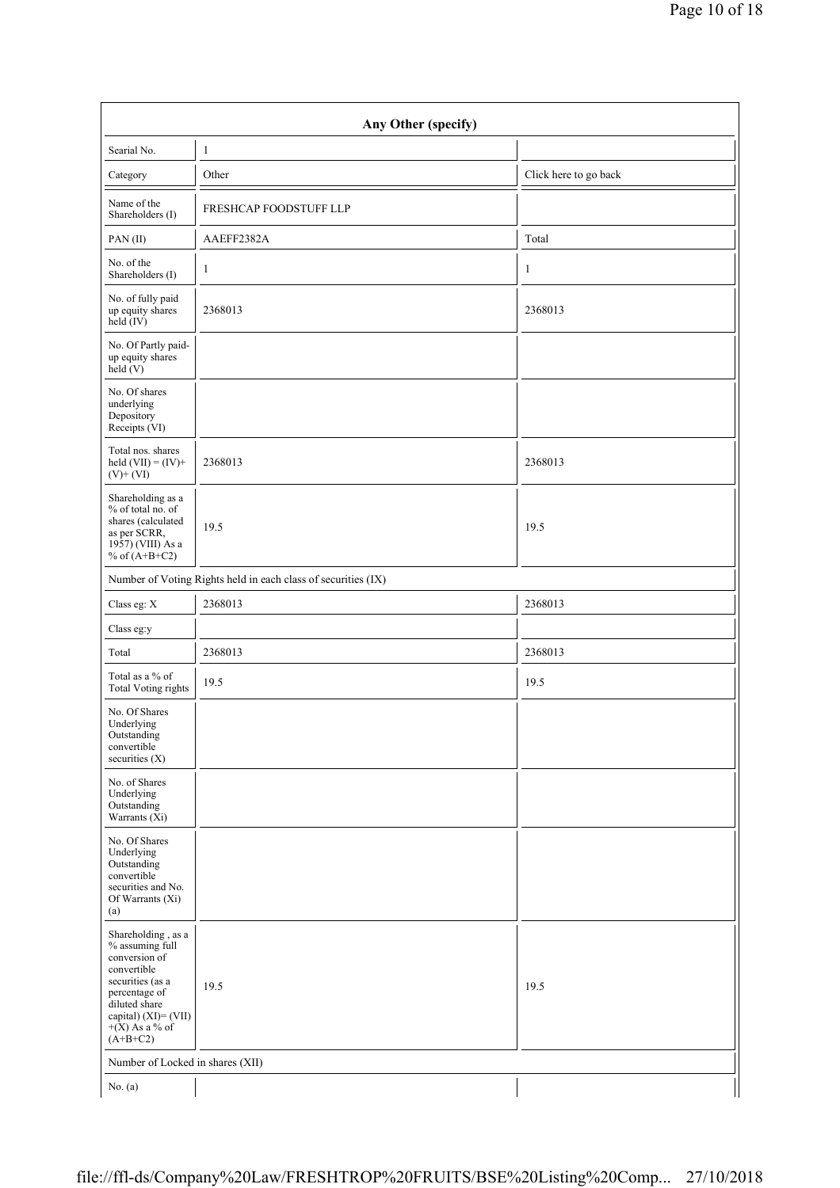| Any Other (specify)                                                                                                                                                                   |                                                               |                       |  |  |  |  |  |  |
|---------------------------------------------------------------------------------------------------------------------------------------------------------------------------------------|---------------------------------------------------------------|-----------------------|--|--|--|--|--|--|
| Searial No.                                                                                                                                                                           | $\mathbf{1}$                                                  |                       |  |  |  |  |  |  |
| Category                                                                                                                                                                              | Other                                                         | Click here to go back |  |  |  |  |  |  |
| Name of the<br>Shareholders (I)                                                                                                                                                       | FRESHCAP FOODSTUFF LLP                                        |                       |  |  |  |  |  |  |
| PAN(II)                                                                                                                                                                               | AAEFF2382A                                                    | Total                 |  |  |  |  |  |  |
| No. of the<br>Shareholders (I)                                                                                                                                                        | $\mathbf{1}$                                                  | 1                     |  |  |  |  |  |  |
| No. of fully paid<br>up equity shares<br>$\text{held}(\text{IV})$                                                                                                                     | 2368013                                                       | 2368013               |  |  |  |  |  |  |
| No. Of Partly paid-<br>up equity shares<br>$\text{held} (V)$                                                                                                                          |                                                               |                       |  |  |  |  |  |  |
| No. Of shares<br>underlying<br>Depository<br>Receipts (VI)                                                                                                                            |                                                               |                       |  |  |  |  |  |  |
| Total nos. shares<br>held $(VII) = (IV) +$<br>$(V)+(VI)$                                                                                                                              | 2368013                                                       | 2368013               |  |  |  |  |  |  |
| Shareholding as a<br>% of total no. of<br>shares (calculated<br>as per SCRR,<br>1957) (VIII) As a<br>% of $(A+B+C2)$                                                                  | 19.5                                                          | 19.5                  |  |  |  |  |  |  |
|                                                                                                                                                                                       | Number of Voting Rights held in each class of securities (IX) |                       |  |  |  |  |  |  |
| Class eg: X                                                                                                                                                                           | 2368013                                                       | 2368013               |  |  |  |  |  |  |
| Class eg:y                                                                                                                                                                            |                                                               |                       |  |  |  |  |  |  |
| Total                                                                                                                                                                                 | 2368013                                                       | 2368013               |  |  |  |  |  |  |
| Total as a % of<br><b>Total Voting rights</b>                                                                                                                                         | 19.5                                                          | 19.5                  |  |  |  |  |  |  |
| No. Of Shares<br>Underlying<br>Outstanding<br>convertible<br>securities (X)                                                                                                           |                                                               |                       |  |  |  |  |  |  |
| No. of Shares<br>Underlying<br>Outstanding<br>Warrants (Xi)                                                                                                                           |                                                               |                       |  |  |  |  |  |  |
| No. Of Shares<br>Underlying<br>Outstanding<br>convertible<br>securities and No.<br>Of Warrants (Xi)<br>(a)                                                                            |                                                               |                       |  |  |  |  |  |  |
| Shareholding, as a<br>% assuming full<br>conversion of<br>convertible<br>securities (as a<br>percentage of<br>diluted share<br>capital) (XI)= (VII)<br>$+(X)$ As a % of<br>$(A+B+C2)$ | 19.5                                                          | 19.5                  |  |  |  |  |  |  |
| Number of Locked in shares (XII)                                                                                                                                                      |                                                               |                       |  |  |  |  |  |  |
| No. $(a)$                                                                                                                                                                             |                                                               |                       |  |  |  |  |  |  |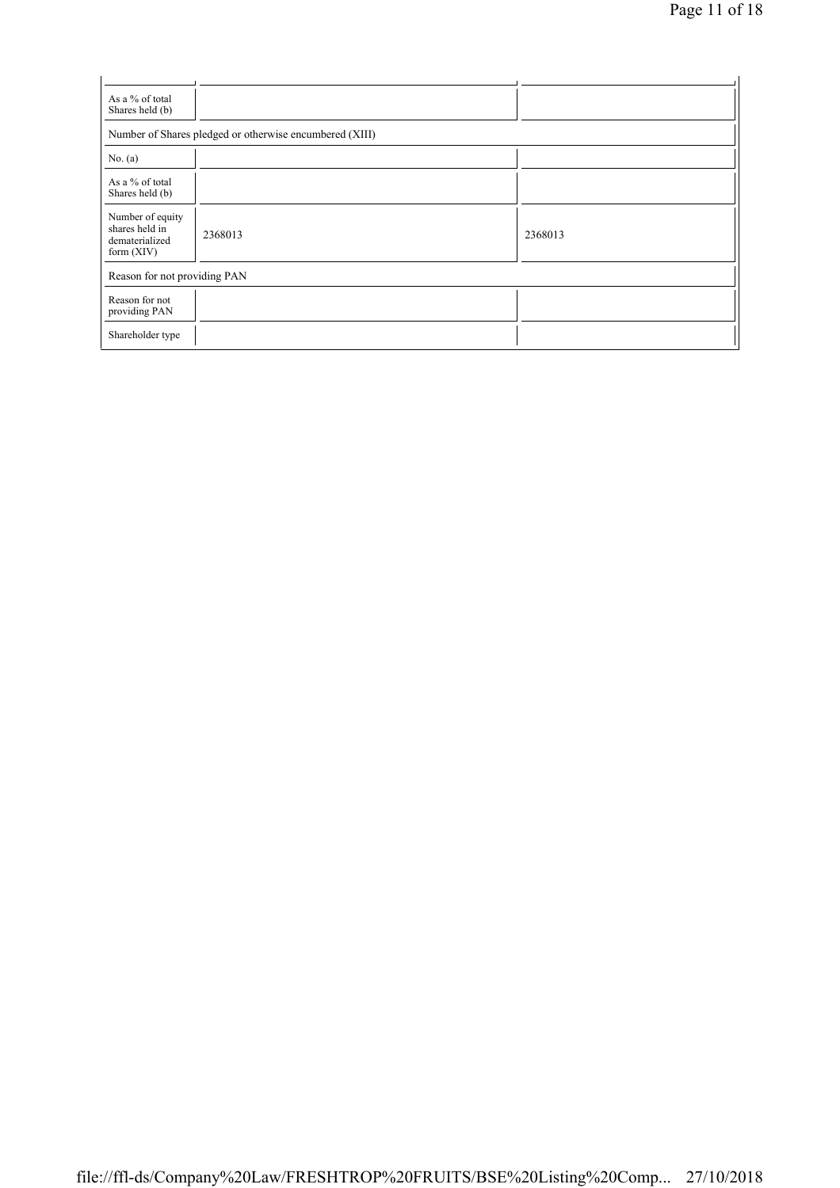| As a % of total<br>Shares held (b)                                   |                                                         |         |
|----------------------------------------------------------------------|---------------------------------------------------------|---------|
|                                                                      | Number of Shares pledged or otherwise encumbered (XIII) |         |
| No. $(a)$                                                            |                                                         |         |
| As a % of total<br>Shares held (b)                                   |                                                         |         |
| Number of equity<br>shares held in<br>dematerialized<br>form $(XIV)$ | 2368013                                                 | 2368013 |
| Reason for not providing PAN                                         |                                                         |         |
| Reason for not<br>providing PAN                                      |                                                         |         |
| Shareholder type                                                     |                                                         |         |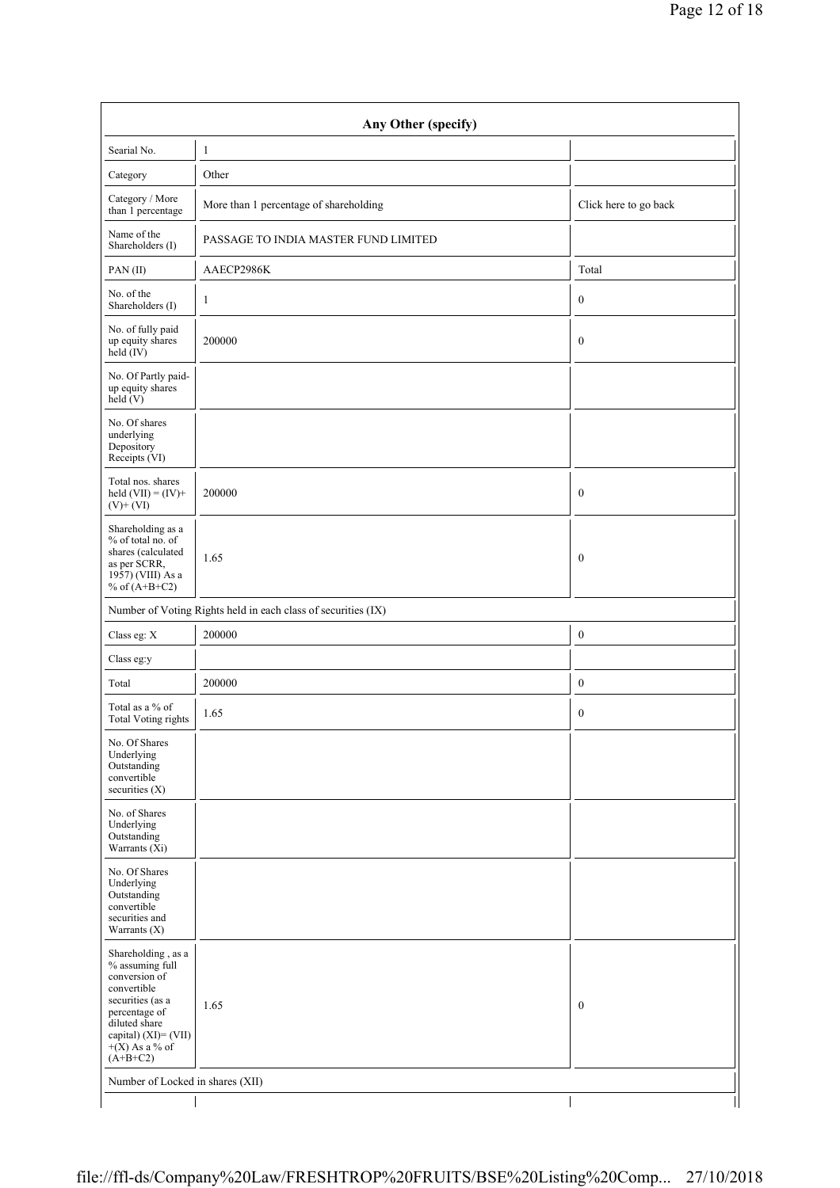| Any Other (specify)                                                                                                                                                                    |                                                               |                       |  |  |  |  |  |  |
|----------------------------------------------------------------------------------------------------------------------------------------------------------------------------------------|---------------------------------------------------------------|-----------------------|--|--|--|--|--|--|
| Searial No.                                                                                                                                                                            | $\mathbf{1}$                                                  |                       |  |  |  |  |  |  |
| Category                                                                                                                                                                               | Other                                                         |                       |  |  |  |  |  |  |
| Category / More<br>than 1 percentage                                                                                                                                                   | More than 1 percentage of shareholding                        | Click here to go back |  |  |  |  |  |  |
| Name of the<br>Shareholders (I)                                                                                                                                                        | PASSAGE TO INDIA MASTER FUND LIMITED                          |                       |  |  |  |  |  |  |
| PAN(II)                                                                                                                                                                                | AAECP2986K                                                    | Total                 |  |  |  |  |  |  |
| No. of the<br>Shareholders (I)                                                                                                                                                         | $\mathbf{1}$                                                  | $\boldsymbol{0}$      |  |  |  |  |  |  |
| No. of fully paid<br>up equity shares<br>held $(IV)$                                                                                                                                   | 200000                                                        | $\boldsymbol{0}$      |  |  |  |  |  |  |
| No. Of Partly paid-<br>up equity shares<br>held(V)                                                                                                                                     |                                                               |                       |  |  |  |  |  |  |
| No. Of shares<br>underlying<br>Depository<br>Receipts (VI)                                                                                                                             |                                                               |                       |  |  |  |  |  |  |
| Total nos. shares<br>held $(VII) = (IV) +$<br>$(V)$ + $(VI)$                                                                                                                           | 200000                                                        | $\boldsymbol{0}$      |  |  |  |  |  |  |
| Shareholding as a<br>% of total no. of<br>shares (calculated<br>as per SCRR,<br>1957) (VIII) As a<br>% of $(A+B+C2)$                                                                   | 1.65                                                          | $\boldsymbol{0}$      |  |  |  |  |  |  |
|                                                                                                                                                                                        | Number of Voting Rights held in each class of securities (IX) |                       |  |  |  |  |  |  |
| Class eg: X                                                                                                                                                                            | 200000                                                        | $\boldsymbol{0}$      |  |  |  |  |  |  |
| Class eg:y                                                                                                                                                                             |                                                               |                       |  |  |  |  |  |  |
| Total                                                                                                                                                                                  | 200000                                                        | $\boldsymbol{0}$      |  |  |  |  |  |  |
| Total as a % of<br><b>Total Voting rights</b>                                                                                                                                          | 1.65                                                          | $\boldsymbol{0}$      |  |  |  |  |  |  |
| No. Of Shares<br>Underlying<br>Outstanding<br>convertible<br>securities (X)                                                                                                            |                                                               |                       |  |  |  |  |  |  |
| No. of Shares<br>Underlying<br>Outstanding<br>Warrants (Xi)                                                                                                                            |                                                               |                       |  |  |  |  |  |  |
| No. Of Shares<br>Underlying<br>Outstanding<br>convertible<br>securities and<br>Warrants $(X)$                                                                                          |                                                               |                       |  |  |  |  |  |  |
| Shareholding , as a<br>% assuming full<br>conversion of<br>convertible<br>securities (as a<br>percentage of<br>diluted share<br>capital) (XI)= (VII)<br>$+(X)$ As a % of<br>$(A+B+C2)$ | 1.65                                                          | $\boldsymbol{0}$      |  |  |  |  |  |  |
| Number of Locked in shares (XII)                                                                                                                                                       |                                                               |                       |  |  |  |  |  |  |
|                                                                                                                                                                                        |                                                               |                       |  |  |  |  |  |  |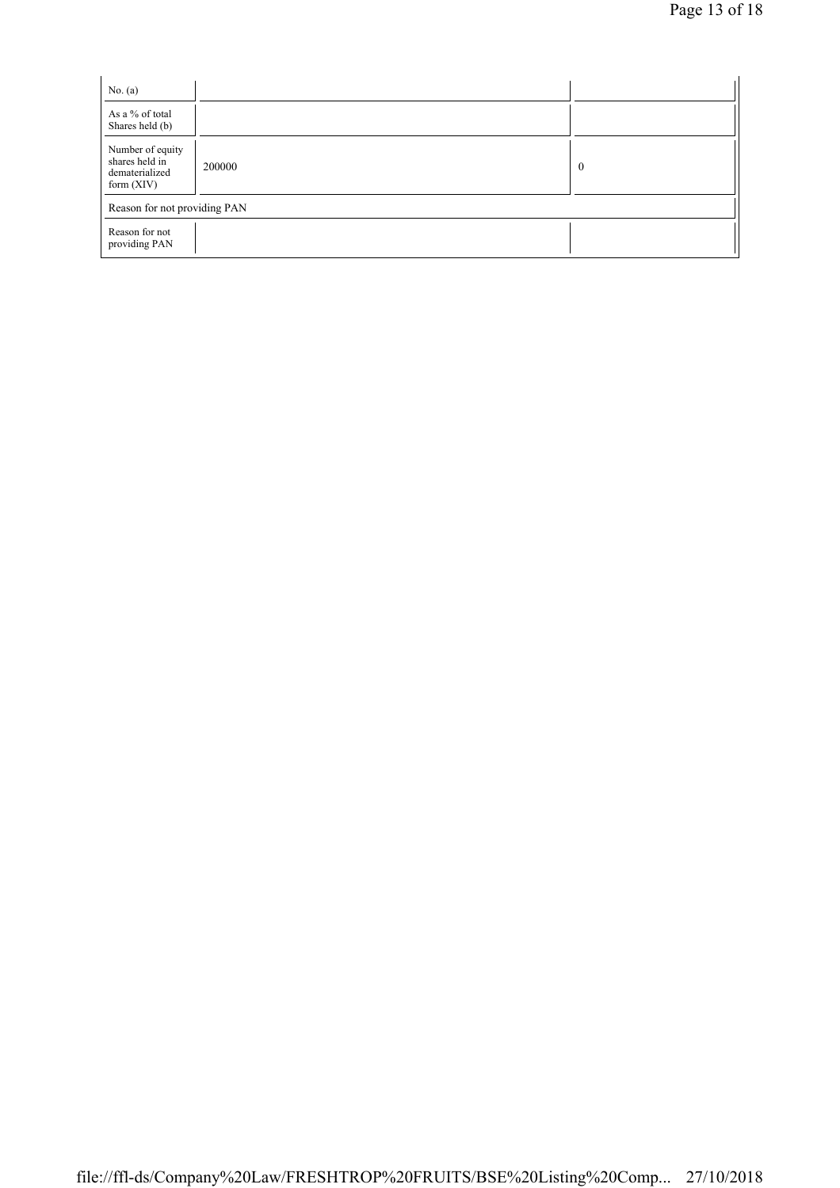| No. $(a)$                                                            |        |          |  |
|----------------------------------------------------------------------|--------|----------|--|
| As a % of total<br>Shares held (b)                                   |        |          |  |
| Number of equity<br>shares held in<br>dematerialized<br>form $(XIV)$ | 200000 | $\bf{0}$ |  |
| Reason for not providing PAN                                         |        |          |  |
| Reason for not<br>providing PAN                                      |        |          |  |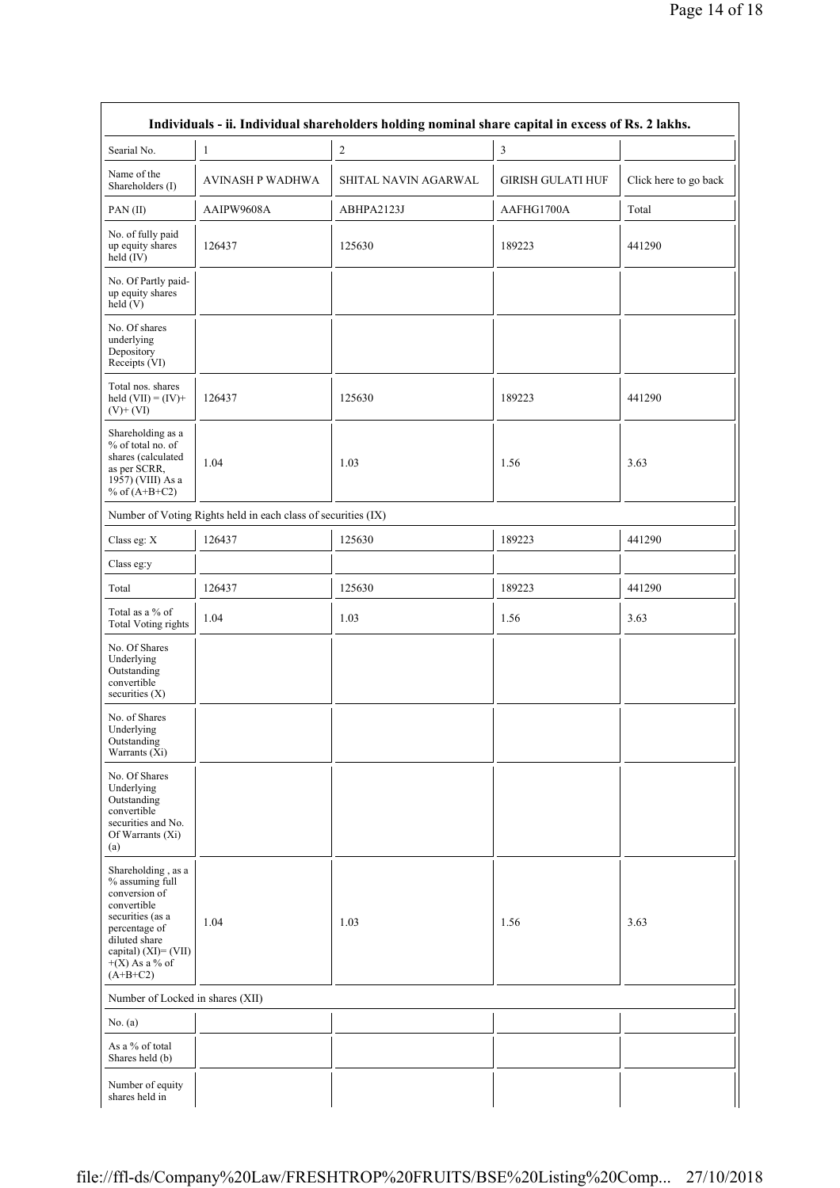| Individuals - ii. Individual shareholders holding nominal share capital in excess of Rs. 2 lakhs.                                                                                     |                                                               |                      |                          |                       |
|---------------------------------------------------------------------------------------------------------------------------------------------------------------------------------------|---------------------------------------------------------------|----------------------|--------------------------|-----------------------|
| Searial No.                                                                                                                                                                           | 1                                                             | $\sqrt{2}$           | 3                        |                       |
| Name of the<br>Shareholders (I)                                                                                                                                                       | <b>AVINASH P WADHWA</b>                                       | SHITAL NAVIN AGARWAL | <b>GIRISH GULATI HUF</b> | Click here to go back |
| PAN(II)                                                                                                                                                                               | AAIPW9608A                                                    | ABHPA2123J           | AAFHG1700A               | Total                 |
| No. of fully paid<br>up equity shares<br>held (IV)                                                                                                                                    | 126437                                                        | 125630               | 189223                   | 441290                |
| No. Of Partly paid-<br>up equity shares<br>held (V)                                                                                                                                   |                                                               |                      |                          |                       |
| No. Of shares<br>underlying<br>Depository<br>Receipts (VI)                                                                                                                            |                                                               |                      |                          |                       |
| Total nos. shares<br>held $(VII) = (IV) +$<br>$(V)+(VI)$                                                                                                                              | 126437                                                        | 125630               | 189223                   | 441290                |
| Shareholding as a<br>% of total no. of<br>shares (calculated<br>as per SCRR,<br>1957) (VIII) As a<br>% of $(A+B+C2)$                                                                  | 1.04                                                          | 1.03                 | 1.56                     | 3.63                  |
|                                                                                                                                                                                       | Number of Voting Rights held in each class of securities (IX) |                      |                          |                       |
| Class eg: X                                                                                                                                                                           | 126437                                                        | 125630               | 189223                   | 441290                |
| Class eg:y                                                                                                                                                                            |                                                               |                      |                          |                       |
| Total                                                                                                                                                                                 | 126437                                                        | 125630               | 189223                   | 441290                |
| Total as a $\%$ of<br>Total Voting rights                                                                                                                                             | 1.04                                                          | 1.03                 | 1.56                     | 3.63                  |
| No. Of Shares<br>Underlying<br>Outstanding<br>convertible<br>securities (X)                                                                                                           |                                                               |                      |                          |                       |
| No. of Shares<br>Underlying<br>Outstanding<br>Warrants (Xi)                                                                                                                           |                                                               |                      |                          |                       |
| No. Of Shares<br>Underlying<br>Outstanding<br>convertible<br>securities and No.<br>Of Warrants (Xi)<br>(a)                                                                            |                                                               |                      |                          |                       |
| Shareholding, as a<br>% assuming full<br>conversion of<br>convertible<br>securities (as a<br>percentage of<br>diluted share<br>capital) (XI)= (VII)<br>$+(X)$ As a % of<br>$(A+B+C2)$ | 1.04                                                          | 1.03                 | 1.56                     | 3.63                  |
| Number of Locked in shares (XII)                                                                                                                                                      |                                                               |                      |                          |                       |
| No. $(a)$                                                                                                                                                                             |                                                               |                      |                          |                       |
| As a % of total<br>Shares held (b)                                                                                                                                                    |                                                               |                      |                          |                       |
| Number of equity<br>shares held in                                                                                                                                                    |                                                               |                      |                          |                       |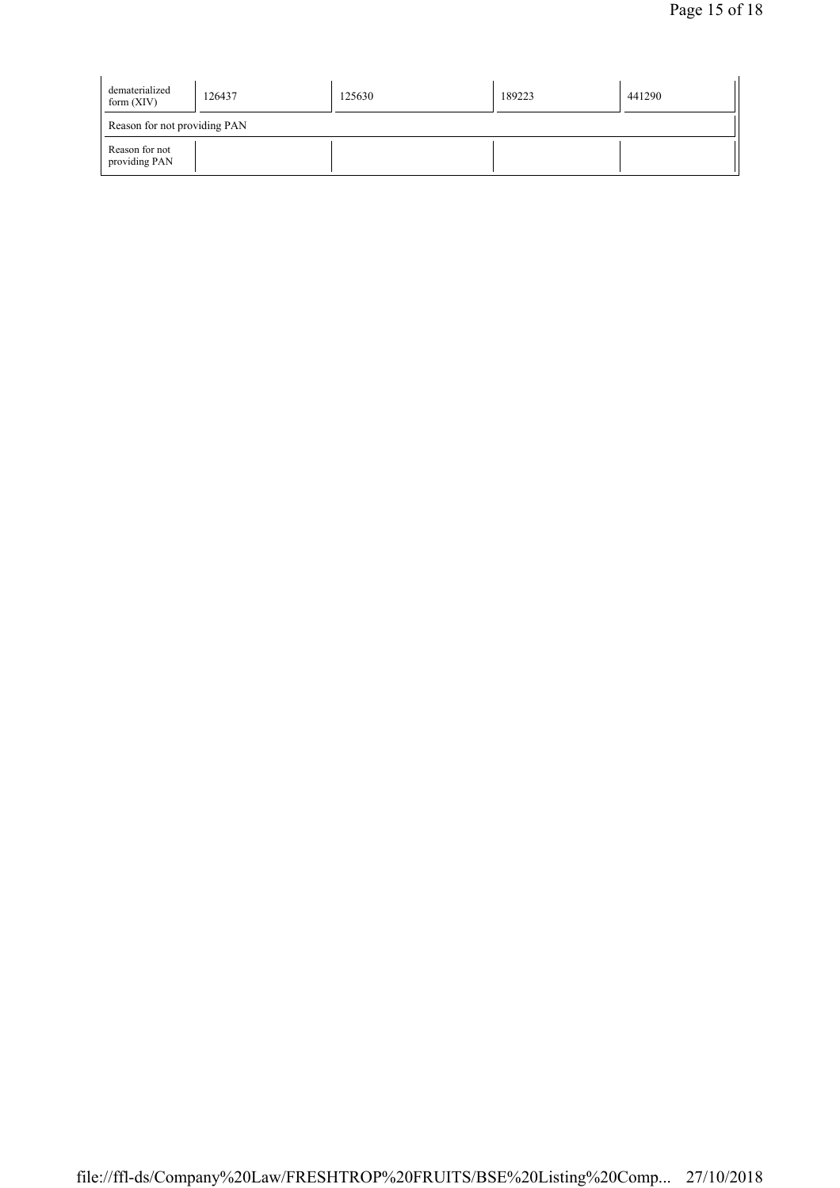| dematerialized<br>form $(XIV)$  | 126437 | 125630 | 189223 | 441290 |  |  |
|---------------------------------|--------|--------|--------|--------|--|--|
| Reason for not providing PAN    |        |        |        |        |  |  |
| Reason for not<br>providing PAN |        |        |        |        |  |  |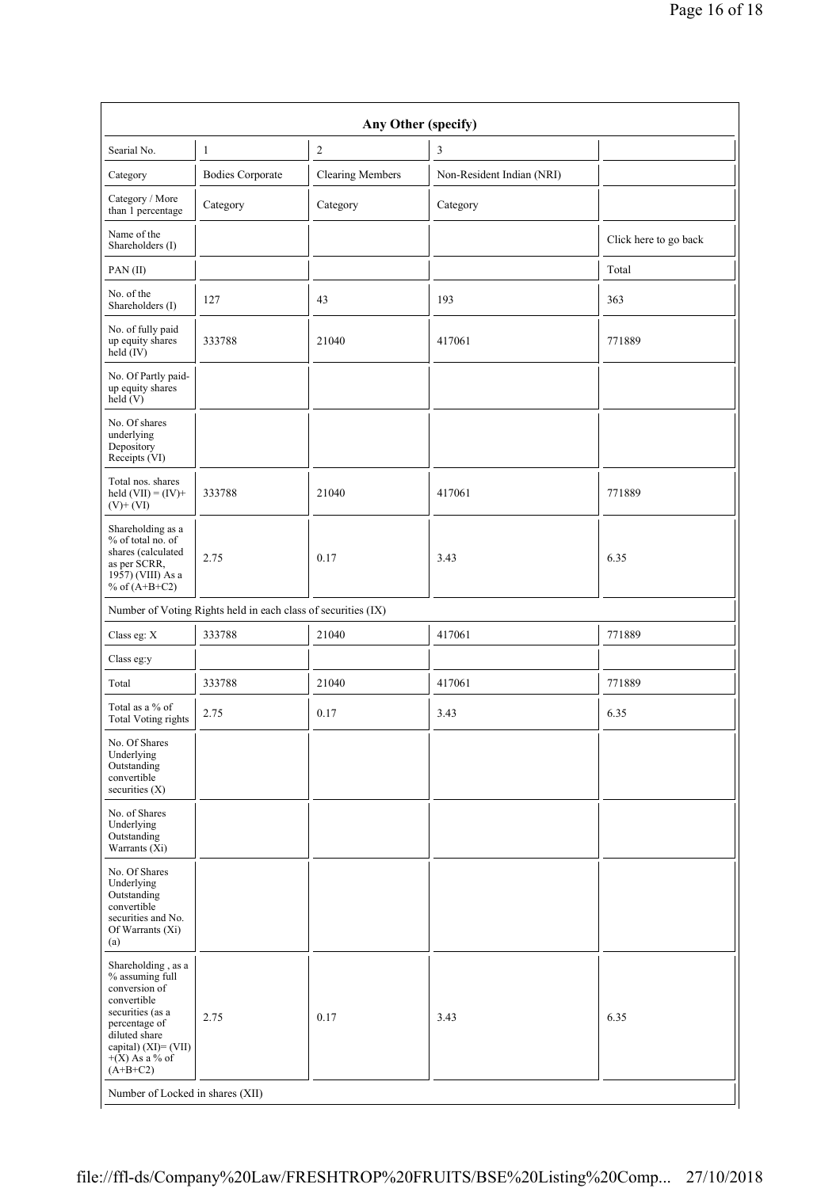| Any Other (specify)                                                                                                                                                                      |                                                               |                         |                           |                       |  |
|------------------------------------------------------------------------------------------------------------------------------------------------------------------------------------------|---------------------------------------------------------------|-------------------------|---------------------------|-----------------------|--|
| Searial No.                                                                                                                                                                              | 1                                                             | $\sqrt{2}$              | 3                         |                       |  |
| Category                                                                                                                                                                                 | <b>Bodies Corporate</b>                                       | <b>Clearing Members</b> | Non-Resident Indian (NRI) |                       |  |
| Category / More<br>than 1 percentage                                                                                                                                                     | Category                                                      | Category                | Category                  |                       |  |
| Name of the<br>Shareholders (I)                                                                                                                                                          |                                                               |                         |                           | Click here to go back |  |
| PAN(II)                                                                                                                                                                                  |                                                               |                         |                           | Total                 |  |
| No. of the<br>Shareholders (I)                                                                                                                                                           | 127                                                           | 43                      | 193                       | 363                   |  |
| No. of fully paid<br>up equity shares<br>$held$ (IV)                                                                                                                                     | 333788                                                        | 21040                   | 417061                    | 771889                |  |
| No. Of Partly paid-<br>up equity shares<br>held $(V)$                                                                                                                                    |                                                               |                         |                           |                       |  |
| No. Of shares<br>underlying<br>Depository<br>Receipts (VI)                                                                                                                               |                                                               |                         |                           |                       |  |
| Total nos. shares<br>held $(VII) = (IV) +$<br>$(V)+(VI)$                                                                                                                                 | 333788                                                        | 21040                   | 417061                    | 771889                |  |
| Shareholding as a<br>% of total no. of<br>shares (calculated<br>as per SCRR,<br>1957) (VIII) As a<br>% of $(A+B+C2)$                                                                     | 2.75                                                          | 0.17                    | 3.43                      | 6.35                  |  |
|                                                                                                                                                                                          | Number of Voting Rights held in each class of securities (IX) |                         |                           |                       |  |
| Class eg: $\mathbf X$                                                                                                                                                                    | 333788                                                        | 21040                   | 417061                    | 771889                |  |
| Class eg:y                                                                                                                                                                               |                                                               |                         |                           |                       |  |
| Total                                                                                                                                                                                    | 333788                                                        | 21040                   | 417061                    | 771889                |  |
| Total as a % of<br><b>Total Voting rights</b>                                                                                                                                            | 2.75                                                          | 0.17                    | 3.43                      | 6.35                  |  |
| No. Of Shares<br>Underlying<br>Outstanding<br>convertible<br>securities (X)                                                                                                              |                                                               |                         |                           |                       |  |
| No. of Shares<br>Underlying<br>Outstanding<br>Warrants (Xi)                                                                                                                              |                                                               |                         |                           |                       |  |
| No. Of Shares<br>Underlying<br>Outstanding<br>convertible<br>securities and No.<br>Of Warrants (Xi)<br>(a)                                                                               |                                                               |                         |                           |                       |  |
| Shareholding, as a<br>% assuming full<br>conversion of<br>convertible<br>securities (as a<br>percentage of<br>diluted share<br>capital) $(XI) = (VII)$<br>$+(X)$ As a % of<br>$(A+B+C2)$ | 2.75                                                          | 0.17                    | 3.43                      | 6.35                  |  |
| Number of Locked in shares (XII)                                                                                                                                                         |                                                               |                         |                           |                       |  |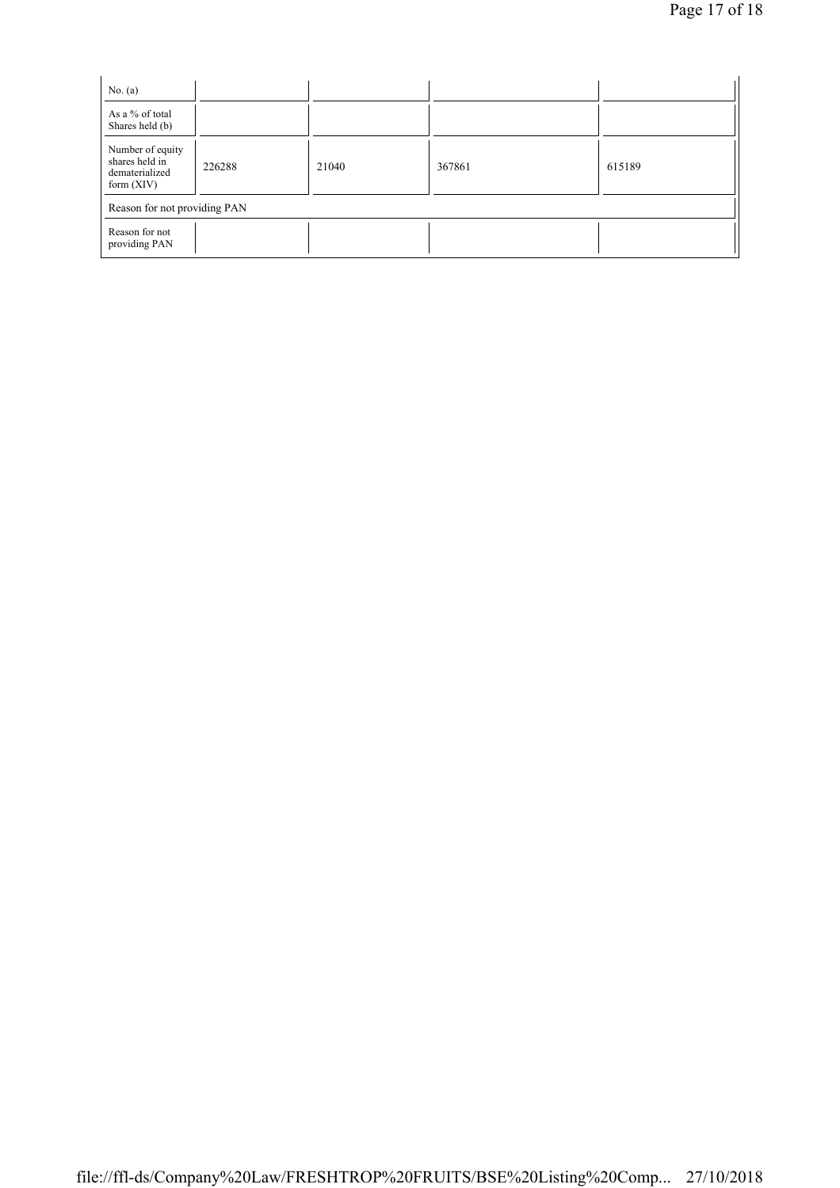| No. $(a)$                                                            |        |       |        |        |
|----------------------------------------------------------------------|--------|-------|--------|--------|
| As a % of total<br>Shares held (b)                                   |        |       |        |        |
| Number of equity<br>shares held in<br>dematerialized<br>form $(XIV)$ | 226288 | 21040 | 367861 | 615189 |
| Reason for not providing PAN                                         |        |       |        |        |
| Reason for not<br>providing PAN                                      |        |       |        |        |